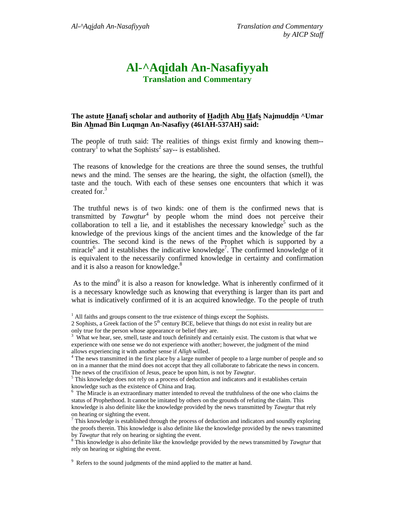## **Al-^Aqidah An-Nasafiyyah Translation and Commentary**

## **The astute Hanafi scholar and authority of Hadith Abu Hafs Najmuddin ^Umar Bin Ahmad Bin Luqman An-Nasafiyy (461AH-537AH) said:**

The people of truth said: The realities of things exist firmly and knowing them- contrary<sup>1</sup> to what the Sophists<sup>2</sup> say-- is established.

 The reasons of knowledge for the creations are three the sound senses, the truthful news and the mind. The senses are the hearing, the sight, the olfaction (smell), the taste and the touch. With each of these senses one encounters that which it was created for.<sup>3</sup>

 The truthful news is of two kinds: one of them is the confirmed news that is transmitted by *Tawatur*<sup>4</sup> by people whom the mind does not perceive their collaboration to tell  $\overline{a}$  lie, and it establishes the necessary knowledge<sup>5</sup> such as the knowledge of the previous kings of the ancient times and the knowledge of the far countries. The second kind is the news of the Prophet which is supported by a miracle<sup>6</sup> and it establishes the indicative knowledge<sup>7</sup>. The confirmed knowledge of it is equivalent to the necessarily confirmed knowledge in certainty and confirmation and it is also a reason for knowledge.<sup>8</sup>

As to the mind<sup>9</sup> it is also a reason for knowledge. What is inherently confirmed of it is a necessary knowledge such as knowing that everything is larger than its part and what is indicatively confirmed of it is an acquired knowledge. To the people of truth

<sup>&</sup>lt;sup>1</sup> All faiths and groups consent to the true existence of things except the Sophists.

<sup>2</sup> Sophists, a Greek faction of the  $5<sup>th</sup>$  century BCE, believe that things do not exist in reality but are only true for the person whose appearance or belief they are.

<sup>&</sup>lt;sup>3</sup> What we hear, see, smell, taste and touch definitely and certainly exist. The custom is that what we experience with one sense we do not experience with another; however, the judgment of the mind allows experiencing it with another sense if *Allah* willed. 4

<sup>&</sup>lt;sup>4</sup> The news transmitted in the first place by a large number of people to a large number of people and so on in a manner that the mind does not accept that they all collaborate to fabricate the news in concern. The news of the crucifixion of Jesus, peace be upon him, is not by *Tawatur*.

 $5$  This knowledge does not rely on a process of deduction and indicators and it establishes certain knowledge such as the existence of China and Iraq.

<sup>&</sup>lt;sup>6</sup> The Miracle is an extraordinary matter intended to reveal the truthfulness of the one who claims the status of Prophethood. It cannot be imitated by others on the grounds of refuting the claim. This knowledge is also definite like the knowledge provided by the news transmitted by *Tawatur* that rely on hearing or sighting the event.

 $\frac{7}{7}$  This knowledge is established through the process of deduction and indicators and soundly exploring the proofs therein. This knowledge is also definite like the knowledge provided by the news transmitted by *Tawatur* that rely on hearing or sighting the event.

This knowledge is also definite like the knowledge provided by the news transmitted by *Tawatur* that rely on hearing or sighting the event.

<sup>&</sup>lt;sup>9</sup> Refers to the sound judgments of the mind applied to the matter at hand.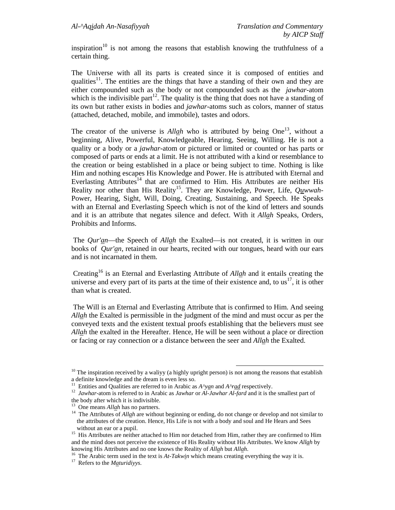inspiration<sup>10</sup> is not among the reasons that establish knowing the truthfulness of a certain thing.

The Universe with all its parts is created since it is composed of entities and qualities<sup>11</sup>. The entities are the things that have a standing of their own and they are either compounded such as the body or not compounded such as the *jawhar*-atom which is the indivisible part<sup>12</sup>. The quality is the thing that does not have a standing of its own but rather exists in bodies and *jawhar*-atoms such as colors, manner of status (attached, detached, mobile, and immobile), tastes and odors.

The creator of the universe is *Allah* who is attributed by being One<sup>13</sup>, without a beginning, Alive, Powerful, Knowledgeable, Hearing, Seeing, Willing. He is not a quality or a body or a *jawhar*-atom or pictured or limited or counted or has parts or composed of parts or ends at a limit. He is not attributed with a kind or resemblance to the creation or being established in a place or being subject to time. Nothing is like Him and nothing escapes His Knowledge and Power. He is attributed with Eternal and Everlasting Attributes<sup>14</sup> that are confirmed to Him. His Attributes are neither His Reality nor other than His Reality<sup>15</sup>. They are Knowledge, Power, Life, *Quwwah*-Power, Hearing, Sight, Will, Doing, Creating, Sustaining, and Speech. He Speaks with an Eternal and Everlasting Speech which is not of the kind of letters and sounds and it is an attribute that negates silence and defect. With it *Allah* Speaks, Orders, Prohibits and Informs.

 The *Qur'an*—the Speech of *Allah* the Exalted—is not created, it is written in our books of *Qur'an*, retained in our hearts, recited with our tongues, heard with our ears and is not incarnated in them.

 Creating16 is an Eternal and Everlasting Attribute of *Allah* and it entails creating the universe and every part of its parts at the time of their existence and, to  $us<sup>17</sup>$ , it is other than what is created.

 The Will is an Eternal and Everlasting Attribute that is confirmed to Him. And seeing *Allah* the Exalted is permissible in the judgment of the mind and must occur as per the conveyed texts and the existent textual proofs establishing that the believers must see *Allah* the exalted in the Hereafter. Hence, He will be seen without a place or direction or facing or ray connection or a distance between the seer and *Allah* the Exalted.

 $10$  The inspiration received by a walivy (a highly upright person) is not among the reasons that establish a definite knowledge and the dream is even less so.<br><sup>11</sup> Entities and Qualities are referred to in Arabic as  $A^{\wedge}$  yan and  $A^{\wedge}$  rate respectively.

<sup>&</sup>lt;sup>12</sup> Jawhar-atom is referred to in Arabic as Jawhar or Al-Jawhar Al-fard and it is the smallest part of the body after which it is indivisible.

<sup>&</sup>lt;sup>13</sup> One means *Allah* has no partners.

<sup>&</sup>lt;sup>14</sup> The Attributes of *Allah* are without beginning or ending, do not change or develop and not similar to the attributes of the creation. Hence, His Life is not with a body and soul and He Hears and Sees

without an ear or a pupil.<br><sup>15</sup> His Attributes are neither attached to Him nor detached from Him, rather they are confirmed to Him and the mind does not perceive the existence of His Reality without His Attributes. We know *Allah* by

<sup>&</sup>lt;sup>16</sup> The Arabic term used in the text is *At-Takwin* which means creating everything the way it is.<sup>17</sup> Refers to the *Maturidivys*.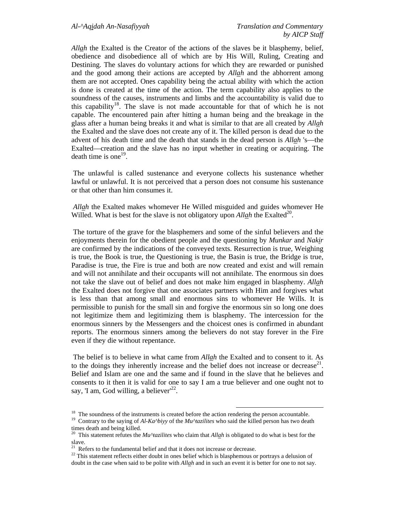*Allah* the Exalted is the Creator of the actions of the slaves be it blasphemy, belief, obedience and disobedience all of which are by His Will, Ruling, Creating and Destining. The slaves do voluntary actions for which they are rewarded or punished and the good among their actions are accepted by *Allah* and the abhorrent among them are not accepted. Ones capability being the actual ability with which the action is done is created at the time of the action. The term capability also applies to the soundness of the causes, instruments and limbs and the accountability is valid due to this capability<sup>18</sup>. The slave is not made accountable for that of which he is not capable. The encountered pain after hitting a human being and the breakage in the glass after a human being breaks it and what is similar to that are all created by *Allah* the Exalted and the slave does not create any of it. The killed person is dead due to the advent of his death time and the death that stands in the dead person is *Allah* 's—the Exalted—creation and the slave has no input whether in creating or acquiring. The death time is one<sup>19</sup>.

 The unlawful is called sustenance and everyone collects his sustenance whether lawful or unlawful. It is not perceived that a person does not consume his sustenance or that other than him consumes it.

*Allah* the Exalted makes whomever He Willed misguided and guides whomever He Willed. What is best for the slave is not obligatory upon *Allah* the Exalted<sup>20</sup>.

 The torture of the grave for the blasphemers and some of the sinful believers and the enjoyments therein for the obedient people and the questioning by *Munkar* and *Nakir* are confirmed by the indications of the conveyed texts. Resurrection is true, Weighing is true, the Book is true, the Questioning is true, the Basin is true, the Bridge is true, Paradise is true, the Fire is true and both are now created and exist and will remain and will not annihilate and their occupants will not annihilate. The enormous sin does not take the slave out of belief and does not make him engaged in blasphemy. *Allah* the Exalted does not forgive that one associates partners with Him and forgives what is less than that among small and enormous sins to whomever He Wills. It is permissible to punish for the small sin and forgive the enormous sin so long one does not legitimize them and legitimizing them is blasphemy. The intercession for the enormous sinners by the Messengers and the choicest ones is confirmed in abundant reports. The enormous sinners among the believers do not stay forever in the Fire even if they die without repentance.

 The belief is to believe in what came from *Allah* the Exalted and to consent to it. As to the doings they inherently increase and the belief does not increase or decrease<sup>21</sup>. Belief and Islam are one and the same and if found in the slave that he believes and consents to it then it is valid for one to say I am a true believer and one ought not to say, 'I am, God willing, a believer<sup>22</sup>.

<sup>&</sup>lt;sup>18</sup> The soundness of the instruments is created before the action rendering the person accountable.

<sup>&</sup>lt;sup>19</sup> Contrary to the saying of *Al-Ka^biyy* of the *Mu^tazilites* who said the killed person has two death times death and being killed.

<sup>20</sup> This statement refutes the *Mu^tazilites* who claim that *Allah* is obligated to do what is best for the slave.

Refers to the fundamental belief and that it does not increase or decrease.

 $22$  This statement reflects either doubt in ones belief which is blasphemous or portrays a delusion of doubt in the case when said to be polite with *Allah* and in such an event it is better for one to not say.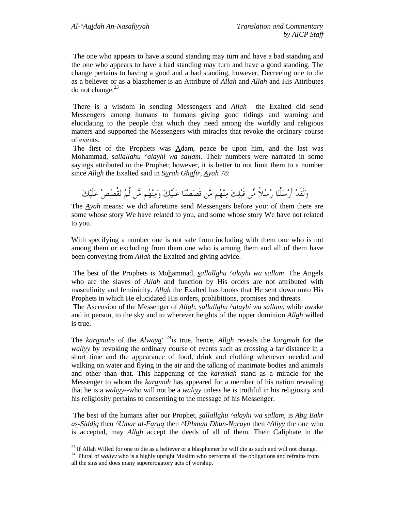The one who appears to have a sound standing may turn and have a bad standing and the one who appears to have a bad standing may turn and have a good standing. The change pertains to having a good and a bad standing, however, Decreeing one to die as a believer or as a blasphemer is an Attribute of *Allah* and *Allah* and His Attributes do not change. $^{23}$ 

 There is a wisdom in sending Messengers and *Allah* the Exalted did send Messengers among humans to humans giving good tidings and warning and elucidating to the people that which they need among the worldly and religious matters and supported the Messengers with miracles that revoke the ordinary course of events.

 The first of the Prophets was Adam, peace be upon him, and the last was Mohammad, *sallallahu ^alayhi wa sallam*. Their numbers were narrated in some sayings attributed to the Prophet; however, it is better to not limit them to a number since *Allah* the Exalted said in *Surah Ghafir, Ayah* 78:

وَلَقَدْ أَرْسَلْنَا رُسُلاً مِّن قَبْلِكَ مِنْهُم مَّن قَصَصْنَا عَلَيْكَ وَمِنْهُم مَّن لَّمْ نَقْصُصْ عَلَيْكَ

The *Ayah* means: we did aforetime send Messengers before you: of them there are some whose story We have related to you, and some whose story We have not related to you.

With specifying a number one is not safe from including with them one who is not among them or excluding from them one who is among them and all of them have been conveying from *Allah* the Exalted and giving advice.

 The best of the Prophets is Mohammad, *sallallahu ^alayhi wa sallam*. The Angels who are the slaves of *Allah* and function by His orders are not attributed with masculinity and femininity. *Allah* the Exalted has books that He sent down unto His Prophets in which He elucidated His orders, prohibitions, promises and threats.

 The Ascension of the Messenger of *Allah*, *sallallahu ^alayhi wa sallam*, while awake and in person, to the sky and to wherever heights of the upper dominion *Allah* willed is true.

The *karamahs* of the *Alwaya'* 24is true, hence, *Allah* reveals the *karamah* for the *waliyy* by revoking the ordinary course of events such as crossing a far distance in a short time and the appearance of food, drink and clothing whenever needed and walking on water and flying in the air and the talking of inanimate bodies and animals and other than that. This happening of the *karamah* stand as a miracle for the Messenger to whom the *karamah* has appeared for a member of his nation revealing that he is a *waliyy*--who will not be a *waliyy* unless he is truthful in his religiosity and his religiosity pertains to consenting to the message of his Messenger.

 The best of the humans after our Prophet, *sallallahu ^alayhi wa sallam*, is *Abu Bakr as-Siddiq* then *^Umar al-Faruq* then *^Uthman Dhun-Nurayn* then *^Aliyy* the one who is accepted, may *Allah* accept the deeds of all of them. Their Caliphate in the

 $^{23}$  If Allah Willed for one to die as a believer or a blasphemer he will die as such and will not change.

<sup>&</sup>lt;sup>24</sup> Plural of *walivy* who is a highly upright Muslim who performs all the obligations and refrains from all the sins and does many supererogatory acts of worship.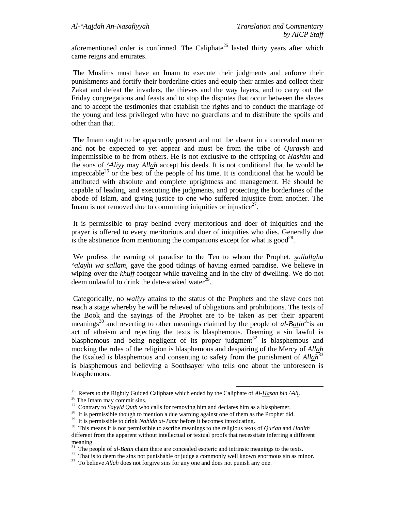aforementioned order is confirmed. The Caliphate<sup>25</sup> lasted thirty years after which came reigns and emirates.

 The Muslims must have an Imam to execute their judgments and enforce their punishments and fortify their borderline cities and equip their armies and collect their Zakat and defeat the invaders, the thieves and the way layers, and to carry out the Friday congregations and feasts and to stop the disputes that occur between the slaves and to accept the testimonies that establish the rights and to conduct the marriage of the young and less privileged who have no guardians and to distribute the spoils and other than that.

 The Imam ought to be apparently present and not be absent in a concealed manner and not be expected to yet appear and must be from the tribe of *Quraysh* and impermissible to be from others. He is not exclusive to the offspring of *Hashim* and the sons of *^Aliyy* may *Allah* accept his deeds. It is not conditional that he would be impeccable<sup>26</sup> or the best of the people of his time. It is conditional that he would be attributed with absolute and complete uprightness and management. He should be capable of leading, and executing the judgments, and protecting the borderlines of the abode of Islam, and giving justice to one who suffered injustice from another. The Imam is not removed due to committing iniquities or injustice<sup>27</sup>.

 It is permissible to pray behind every meritorious and doer of iniquities and the prayer is offered to every meritorious and doer of iniquities who dies. Generally due is the abstinence from mentioning the companions except for what is good<sup>28</sup>.

 We profess the earning of paradise to the Ten to whom the Prophet, *sallallahu ^alayhi wa sallam*, gave the good tidings of having earned paradise. We believe in wiping over the *khuff*-footgear while traveling and in the city of dwelling. We do not deem unlawful to drink the date-soaked water $^{29}$ .

 Categorically, no *waliyy* attains to the status of the Prophets and the slave does not reach a stage whereby he will be relieved of obligations and prohibitions. The texts of the Book and the sayings of the Prophet are to be taken as per their apparent meanings<sup>30</sup> and reverting to other meanings claimed by the people of *al-Batin*<sup>31</sup>is an act of atheism and rejecting the texts is blasphemous. Deeming a sin lawful is blasphemous and being negligent of its proper judgment<sup>32</sup> is blasphemous and mocking the rules of the religion is blasphemous and despairing of the Mercy of *Allah* the Exalted is blasphemous and consenting to safety from the punishment of *Allah*33 is blasphemous and believing a Soothsayer who tells one about the unforeseen is blasphemous.

<sup>&</sup>lt;sup>25</sup> Refers to the Rightly Guided Caliphate which ended by the Caliphate of  $Al-Hasan bin <sup>26</sup>Al<sub>2</sub>$ .<br><sup>26</sup> The Imam may commit sins.<br><sup>27</sup> Contrary to *Sayyid Qutb* who calls for removing him and declares him as a bla

<sup>&</sup>lt;sup>28</sup> It is permissible though to mention a due warning against one of them as the Prophet did.<br><sup>29</sup> It is permissible to drink *Nabidh at-Tamr* before it becomes intoxicating.

<sup>&</sup>lt;sup>30</sup> This means it is not permissible to ascribe meanings to the religious texts of *Qur'an* and *Hadith* different from the apparent without intellectual or textual proofs that necessitate inferring a different meaning.<br> $31$  The people of *al-Batin* claim there are concealed esoteric and intrinsic meanings to the texts.

<sup>&</sup>lt;sup>32</sup> That is to deem the sins not punishable or judge a commonly well known enormous sin as minor.

<sup>&</sup>lt;sup>33</sup> To believe *Allah* does not forgive sins for any one and does not punish any one.